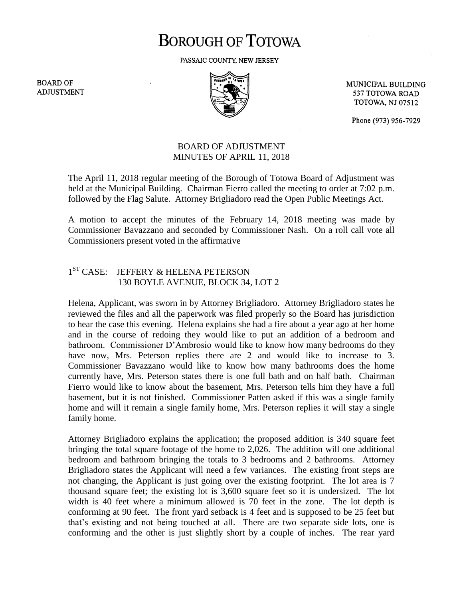# **BOROUGH OF TOTOWA**

PASSAIC COUNTY, NEW JERSEY

**BOARD OF ADJUSTMENT** 



MUNICIPAL BUILDING 537 TOTOWA ROAD **TOTOWA, NJ 07512** 

Phone (973) 956-7929

### BOARD OF ADJUSTMENT MINUTES OF APRIL 11, 2018

The April 11, 2018 regular meeting of the Borough of Totowa Board of Adjustment was held at the Municipal Building. Chairman Fierro called the meeting to order at 7:02 p.m. followed by the Flag Salute. Attorney Brigliadoro read the Open Public Meetings Act.

A motion to accept the minutes of the February 14, 2018 meeting was made by Commissioner Bavazzano and seconded by Commissioner Nash. On a roll call vote all Commissioners present voted in the affirmative

#### $1<sup>ST</sup> CASE:$ JEFFERY & HELENA PETERSON 130 BOYLE AVENUE, BLOCK 34, LOT 2

Helena, Applicant, was sworn in by Attorney Brigliadoro. Attorney Brigliadoro states he reviewed the files and all the paperwork was filed properly so the Board has jurisdiction to hear the case this evening. Helena explains she had a fire about a year ago at her home and in the course of redoing they would like to put an addition of a bedroom and bathroom. Commissioner D'Ambrosio would like to know how many bedrooms do they have now, Mrs. Peterson replies there are 2 and would like to increase to 3. Commissioner Bavazzano would like to know how many bathrooms does the home currently have, Mrs. Peterson states there is one full bath and on half bath. Chairman Fierro would like to know about the basement, Mrs. Peterson tells him they have a full basement, but it is not finished. Commissioner Patten asked if this was a single family home and will it remain a single family home, Mrs. Peterson replies it will stay a single family home.

Attorney Brigliadoro explains the application; the proposed addition is 340 square feet bringing the total square footage of the home to 2,026. The addition will one additional bedroom and bathroom bringing the totals to 3 bedrooms and 2 bathrooms. Attorney Brigliadoro states the Applicant will need a few variances. The existing front steps are not changing, the Applicant is just going over the existing footprint. The lot area is 7 thousand square feet; the existing lot is 3,600 square feet so it is undersized. The lot width is 40 feet where a minimum allowed is 70 feet in the zone. The lot depth is conforming at 90 feet. The front yard setback is 4 feet and is supposed to be 25 feet but that's existing and not being touched at all. There are two separate side lots, one is conforming and the other is just slightly short by a couple of inches. The rear yard